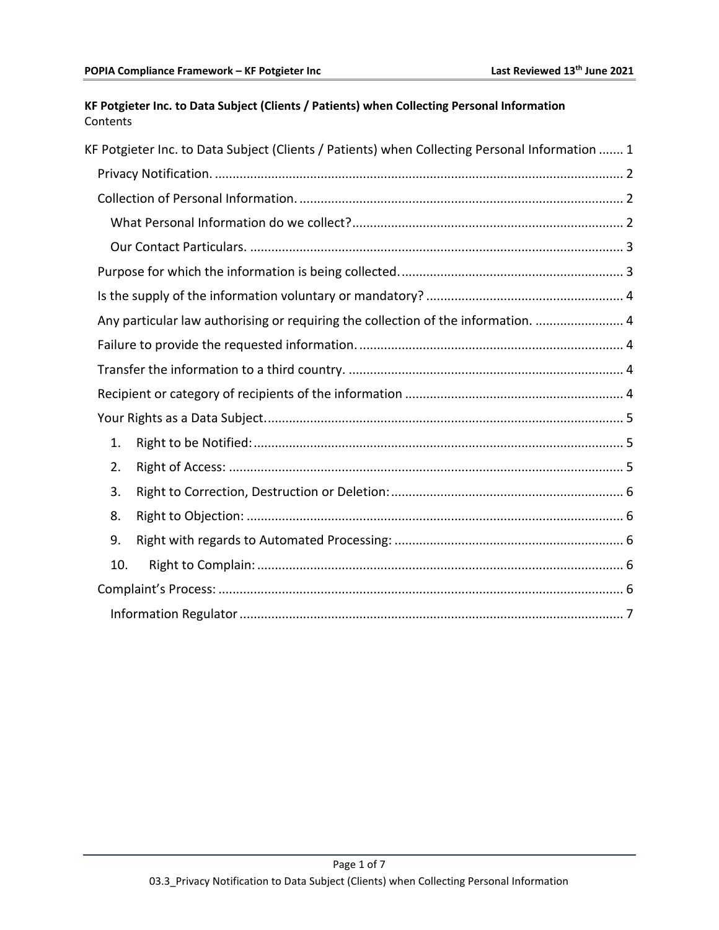# <span id="page-0-0"></span>**KF Potgieter Inc. to Data Subject (Clients / Patients) when Collecting Personal Information** Contents

| KF Potgieter Inc. to Data Subject (Clients / Patients) when Collecting Personal Information  1 |
|------------------------------------------------------------------------------------------------|
|                                                                                                |
|                                                                                                |
|                                                                                                |
|                                                                                                |
|                                                                                                |
|                                                                                                |
| Any particular law authorising or requiring the collection of the information.  4              |
|                                                                                                |
|                                                                                                |
|                                                                                                |
|                                                                                                |
| 1.                                                                                             |
| 2.                                                                                             |
| 3.                                                                                             |
| 8.                                                                                             |
| 9.                                                                                             |
| 10.                                                                                            |
|                                                                                                |
|                                                                                                |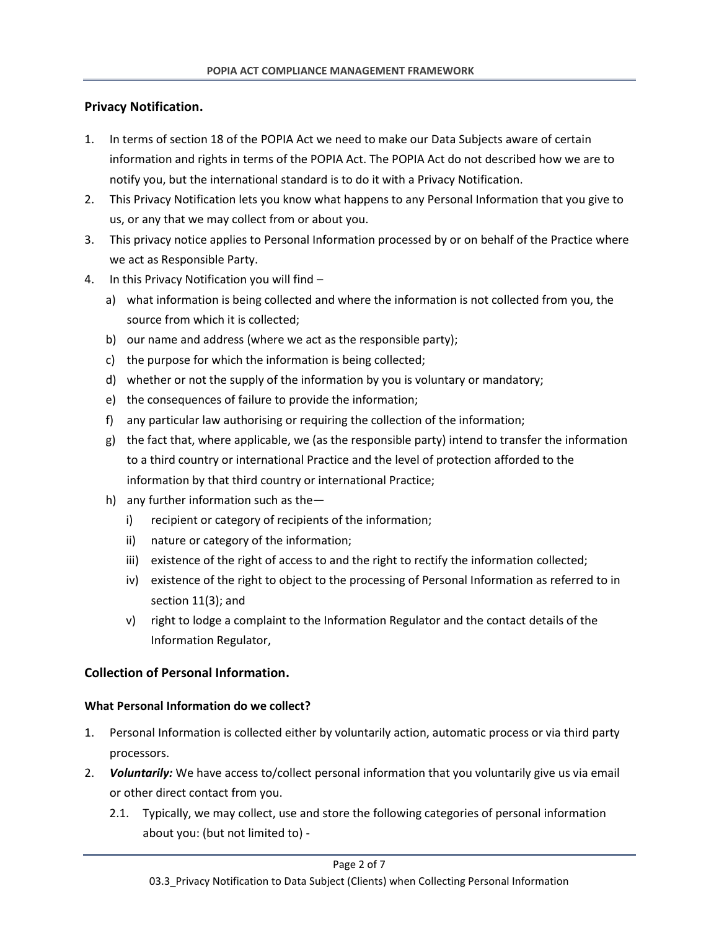## <span id="page-1-0"></span>**Privacy Notification.**

- 1. In terms of section 18 of the POPIA Act we need to make our Data Subjects aware of certain information and rights in terms of the POPIA Act. The POPIA Act do not described how we are to notify you, but the international standard is to do it with a Privacy Notification.
- 2. This Privacy Notification lets you know what happens to any Personal Information that you give to us, or any that we may collect from or about you.
- 3. This privacy notice applies to Personal Information processed by or on behalf of the Practice where we act as Responsible Party.
- 4. In this Privacy Notification you will find
	- a) what information is being collected and where the information is not collected from you, the source from which it is collected;
	- b) our name and address (where we act as the responsible party);
	- c) the purpose for which the information is being collected;
	- d) whether or not the supply of the information by you is voluntary or mandatory;
	- e) the consequences of failure to provide the information;
	- f) any particular law authorising or requiring the collection of the information;
	- g) the fact that, where applicable, we (as the responsible party) intend to transfer the information to a third country or international Practice and the level of protection afforded to the information by that third country or international Practice;
	- h) any further information such as the
		- i) recipient or category of recipients of the information;
		- ii) nature or category of the information;
		- iii) existence of the right of access to and the right to rectify the information collected;
		- iv) existence of the right to object to the processing of Personal Information as referred to in section 11(3); and
		- v) right to lodge a complaint to the Information Regulator and the contact details of the Information Regulator,

# <span id="page-1-1"></span>**Collection of Personal Information.**

## <span id="page-1-2"></span>**What Personal Information do we collect?**

- 1. Personal Information is collected either by voluntarily action, automatic process or via third party processors.
- 2. *Voluntarily:* We have access to/collect personal information that you voluntarily give us via email or other direct contact from you.
	- 2.1. Typically, we may collect, use and store the following categories of personal information about you: (but not limited to) -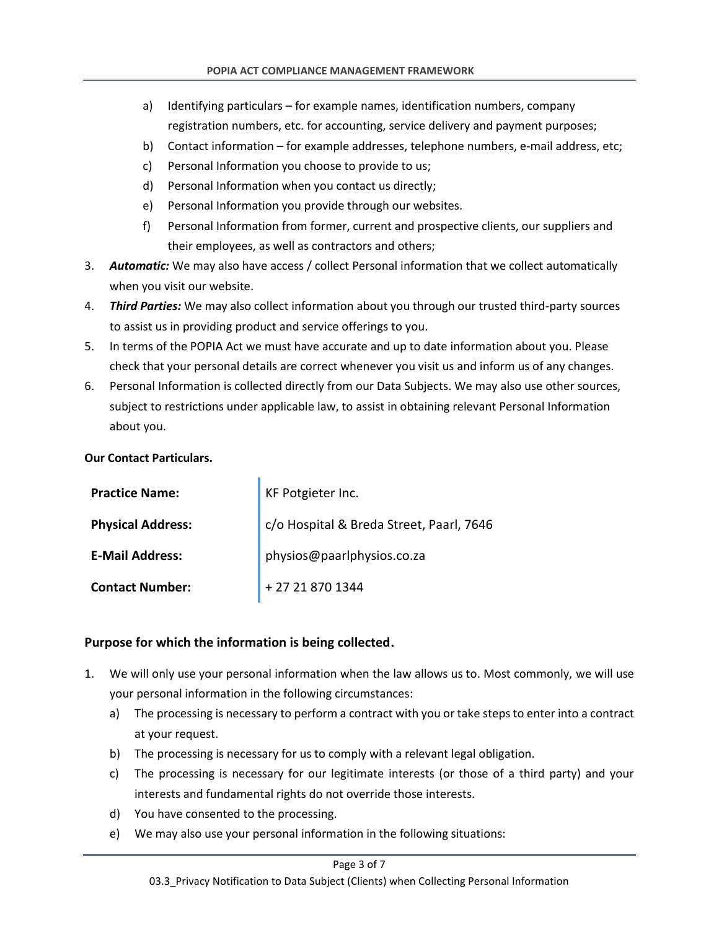- a) Identifying particulars for example names, identification numbers, company registration numbers, etc. for accounting, service delivery and payment purposes;
- b) Contact information for example addresses, telephone numbers, e-mail address, etc;
- c) Personal Information you choose to provide to us;
- d) Personal Information when you contact us directly;
- e) Personal Information you provide through our websites.
- f) Personal Information from former, current and prospective clients, our suppliers and their employees, as well as contractors and others;
- 3. *Automatic:* We may also have access / collect Personal information that we collect automatically when you visit our website.
- 4. *Third Parties:* We may also collect information about you through our trusted third-party sources to assist us in providing product and service offerings to you.
- 5. In terms of the POPIA Act we must have accurate and up to date information about you. Please check that your personal details are correct whenever you visit us and inform us of any changes.
- 6. Personal Information is collected directly from our Data Subjects. We may also use other sources, subject to restrictions under applicable law, to assist in obtaining relevant Personal Information about you.

### <span id="page-2-0"></span>**Our Contact Particulars.**

| <b>Practice Name:</b>    | KF Potgieter Inc.                        |
|--------------------------|------------------------------------------|
| <b>Physical Address:</b> | c/o Hospital & Breda Street, Paarl, 7646 |
| <b>E-Mail Address:</b>   | physios@paarlphysios.co.za               |
| <b>Contact Number:</b>   | + 27 21 870 1344                         |

## <span id="page-2-1"></span>**Purpose for which the information is being collected.**

- 1. We will only use your personal information when the law allows us to. Most commonly, we will use your personal information in the following circumstances:
	- a) The processing is necessary to perform a contract with you or take steps to enter into a contract at your request.
	- b) The processing is necessary for us to comply with a relevant legal obligation.
	- c) The processing is necessary for our legitimate interests (or those of a third party) and your interests and fundamental rights do not override those interests.
	- d) You have consented to the processing.
	- e) We may also use your personal information in the following situations:

#### Page 3 of 7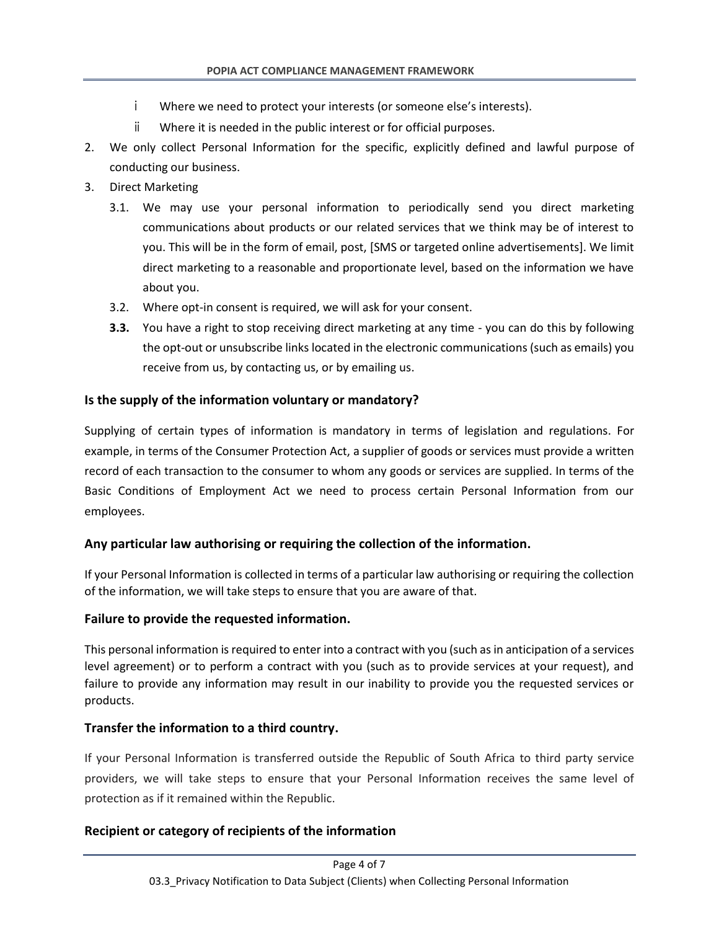- i Where we need to protect your interests (or someone else's interests).
- ii Where it is needed in the public interest or for official purposes.
- 2. We only collect Personal Information for the specific, explicitly defined and lawful purpose of conducting our business.
- 3. Direct Marketing
	- 3.1. We may use your personal information to periodically send you direct marketing communications about products or our related services that we think may be of interest to you. This will be in the form of email, post, [SMS or targeted online advertisements]. We limit direct marketing to a reasonable and proportionate level, based on the information we have about you.
	- 3.2. Where opt-in consent is required, we will ask for your consent.
	- **3.3.** You have a right to stop receiving direct marketing at any time you can do this by following the opt-out or unsubscribe links located in the electronic communications (such as emails) you receive from us, by contacting us, or by emailing us.

## <span id="page-3-0"></span>**Is the supply of the information voluntary or mandatory?**

Supplying of certain types of information is mandatory in terms of legislation and regulations. For example, in terms of the Consumer Protection Act, a supplier of goods or services must provide a written record of each transaction to the consumer to whom any goods or services are supplied. In terms of the Basic Conditions of Employment Act we need to process certain Personal Information from our employees.

## <span id="page-3-1"></span>**Any particular law authorising or requiring the collection of the information.**

If your Personal Information is collected in terms of a particular law authorising or requiring the collection of the information, we will take steps to ensure that you are aware of that.

## <span id="page-3-2"></span>**Failure to provide the requested information.**

This personal information is required to enter into a contract with you (such as in anticipation of a services level agreement) or to perform a contract with you (such as to provide services at your request), and failure to provide any information may result in our inability to provide you the requested services or products.

## <span id="page-3-3"></span>**Transfer the information to a third country.**

If your Personal Information is transferred outside the Republic of South Africa to third party service providers, we will take steps to ensure that your Personal Information receives the same level of protection as if it remained within the Republic.

## <span id="page-3-4"></span>**Recipient or category of recipients of the information**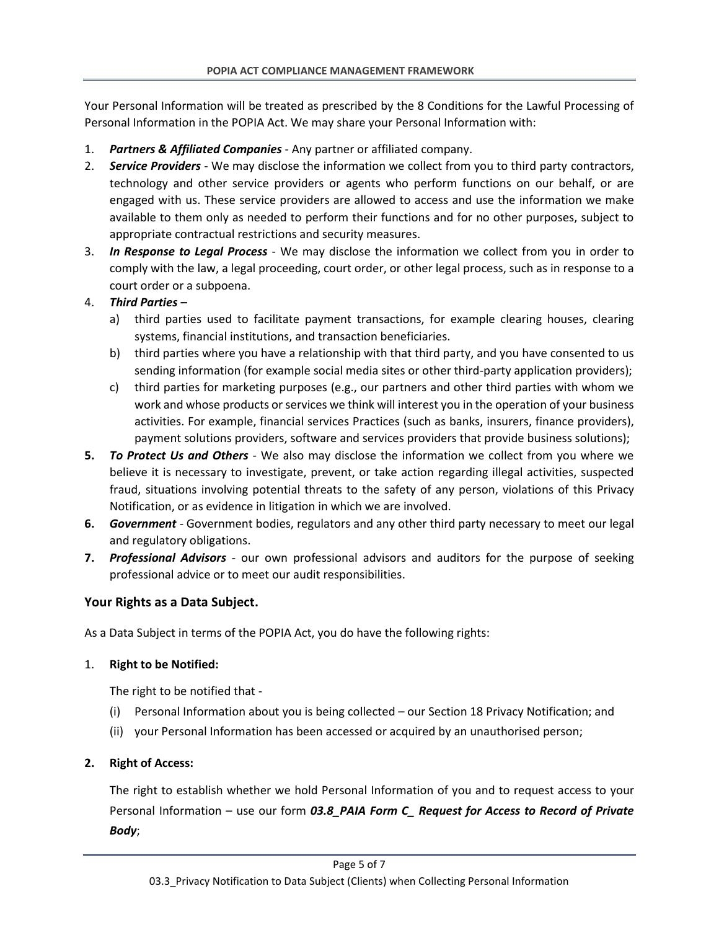Your Personal Information will be treated as prescribed by the 8 Conditions for the Lawful Processing of Personal Information in the POPIA Act. We may share your Personal Information with:

- 1. *Partners & Affiliated Companies* Any partner or affiliated company.
- 2. *Service Providers* We may disclose the information we collect from you to third party contractors, technology and other service providers or agents who perform functions on our behalf, or are engaged with us. These service providers are allowed to access and use the information we make available to them only as needed to perform their functions and for no other purposes, subject to appropriate contractual restrictions and security measures.
- 3. *In Response to Legal Process* We may disclose the information we collect from you in order to comply with the law, a legal proceeding, court order, or other legal process, such as in response to a court order or a subpoena.

## 4. *Third Parties –*

- a) third parties used to facilitate payment transactions, for example clearing houses, clearing systems, financial institutions, and transaction beneficiaries.
- b) third parties where you have a relationship with that third party, and you have consented to us sending information (for example social media sites or other third-party application providers);
- c) third parties for marketing purposes (e.g., our partners and other third parties with whom we work and whose products or services we think will interest you in the operation of your business activities. For example, financial services Practices (such as banks, insurers, finance providers), payment solutions providers, software and services providers that provide business solutions);
- **5.** *To Protect Us and Others* We also may disclose the information we collect from you where we believe it is necessary to investigate, prevent, or take action regarding illegal activities, suspected fraud, situations involving potential threats to the safety of any person, violations of this Privacy Notification, or as evidence in litigation in which we are involved.
- **6.** *Government* Government bodies, regulators and any other third party necessary to meet our legal and regulatory obligations.
- **7.** *Professional Advisors* our own professional advisors and auditors for the purpose of seeking professional advice or to meet our audit responsibilities.

## <span id="page-4-0"></span>**Your Rights as a Data Subject.**

As a Data Subject in terms of the POPIA Act, you do have the following rights:

## <span id="page-4-1"></span>1. **Right to be Notified:**

The right to be notified that -

- (i) Personal Information about you is being collected our Section 18 Privacy Notification; and
- (ii) your Personal Information has been accessed or acquired by an unauthorised person;

## <span id="page-4-2"></span>**2. Right of Access:**

The right to establish whether we hold Personal Information of you and to request access to your Personal Information – use our form *03.8\_PAIA Form C\_ Request for Access to Record of Private Body*;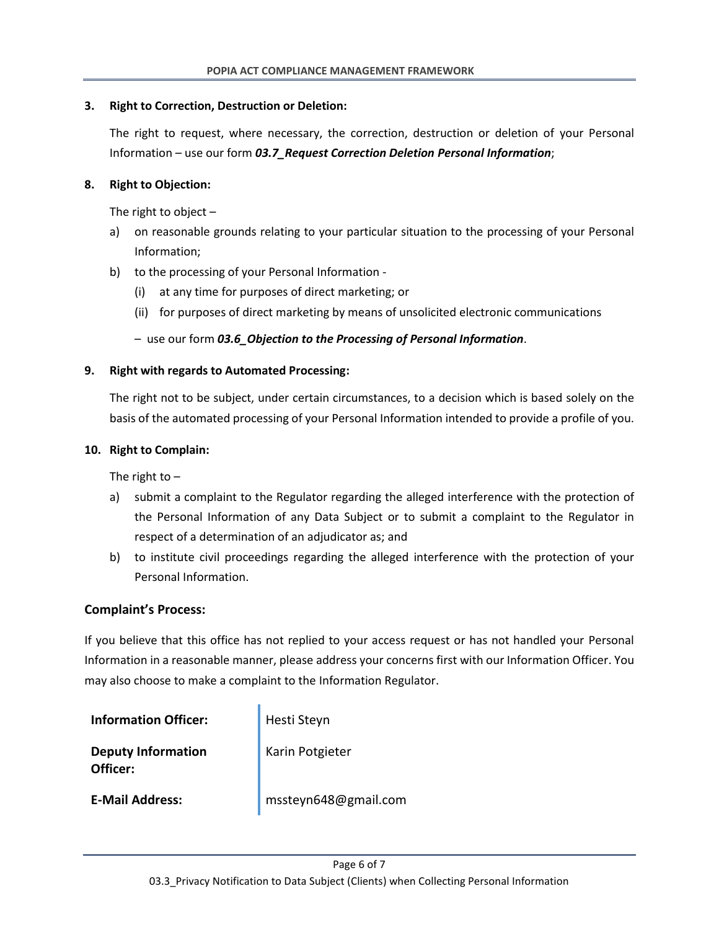### <span id="page-5-0"></span>**3. Right to Correction, Destruction or Deletion:**

The right to request, where necessary, the correction, destruction or deletion of your Personal Information – use our form *03.7\_Request Correction Deletion Personal Information*;

### <span id="page-5-1"></span>**8. Right to Objection:**

The right to object –

- a) on reasonable grounds relating to your particular situation to the processing of your Personal Information;
- b) to the processing of your Personal Information
	- (i) at any time for purposes of direct marketing; or
	- (ii) for purposes of direct marketing by means of unsolicited electronic communications

### – use our form *03.6\_Objection to the Processing of Personal Information*.

### <span id="page-5-2"></span>**9. Right with regards to Automated Processing:**

The right not to be subject, under certain circumstances, to a decision which is based solely on the basis of the automated processing of your Personal Information intended to provide a profile of you.

#### <span id="page-5-3"></span>**10. Right to Complain:**

The right to  $-$ 

- a) submit a complaint to the Regulator regarding the alleged interference with the protection of the Personal Information of any Data Subject or to submit a complaint to the Regulator in respect of a determination of an adjudicator as; and
- b) to institute civil proceedings regarding the alleged interference with the protection of your Personal Information.

### <span id="page-5-4"></span>**Complaint's Process:**

If you believe that this office has not replied to your access request or has not handled your Personal Information in a reasonable manner, please address your concerns first with our Information Officer. You may also choose to make a complaint to the Information Regulator.

| <b>Information Officer:</b>           | Hesti Steyn          |
|---------------------------------------|----------------------|
| <b>Deputy Information</b><br>Officer: | Karin Potgieter      |
| <b>E-Mail Address:</b>                | mssteyn648@gmail.com |